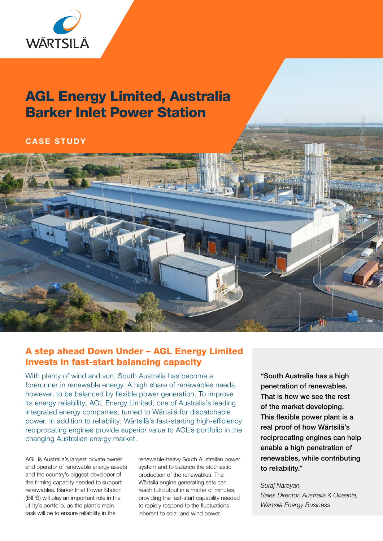

# AGL Energy Limited, Australia Barker Inlet Power Station

### CASE STUDY



## A step ahead Down Under – AGL Energy Limited invests in fast-start balancing capacity

With plenty of wind and sun, South Australia has become a forerunner in renewable energy. A high share of renewables needs, however, to be balanced by flexible power generation. To improve its energy reliability, AGL Energy Limited, one of Australia's leading integrated energy companies, turned to Wärtsilä for dispatchable power. In addition to reliability, Wärtsilä's fast-starting high-efficiency reciprocating engines provide superior value to AGL's portfolio in the changing Australian energy market.

AGL is Australia's largest private owner and operator of renewable energy assets and the country's biggest developer of the firming capacity needed to support renewables. Barker Inlet Power Station (BIPS) will play an important role in the utility's portfolio, as the plant's main task will be to ensure reliability in the

renewable-heavy South Australian power system and to balance the stochastic production of the renewables. The Wärtsilä engine generating sets can reach full output in a matter of minutes, providing the fast-start capability needed to rapidly respond to the fluctuations inherent to solar and wind power.

"South Australia has a high penetration of renewables. That is how we see the rest of the market developing. This flexible power plant is a real proof of how Wärtsilä's reciprocating engines can help enable a high penetration of renewables, while contributing to reliability."

*Suraj Narayan, Sales Director, Australia & Oceania, Wärtsilä Energy Business*